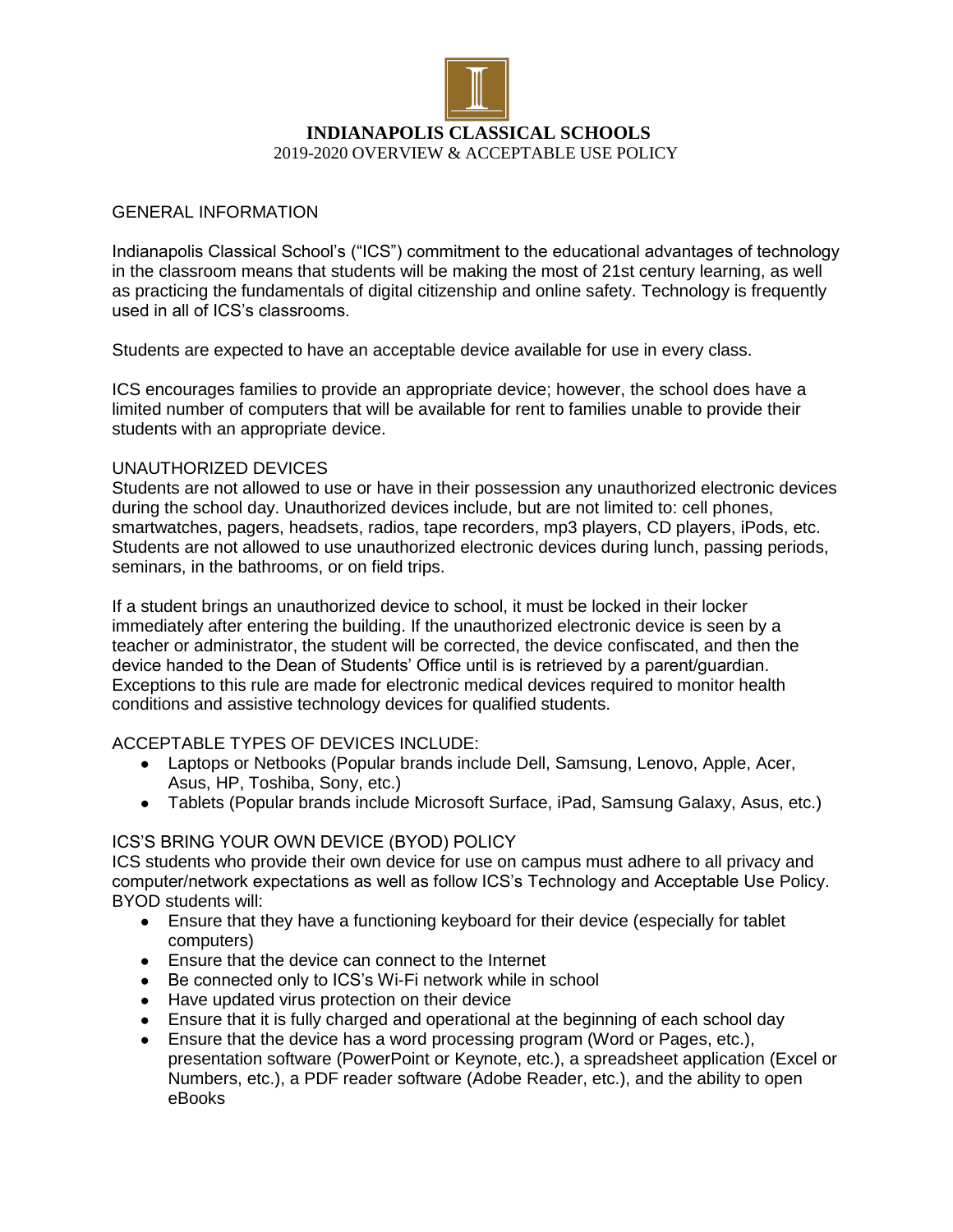

### GENERAL INFORMATION

Indianapolis Classical School's ("ICS") commitment to the educational advantages of technology in the classroom means that students will be making the most of 21st century learning, as well as practicing the fundamentals of digital citizenship and online safety. Technology is frequently used in all of ICS's classrooms.

Students are expected to have an acceptable device available for use in every class.

ICS encourages families to provide an appropriate device; however, the school does have a limited number of computers that will be available for rent to families unable to provide their students with an appropriate device.

#### UNAUTHORIZED DEVICES

Students are not allowed to use or have in their possession any unauthorized electronic devices during the school day. Unauthorized devices include, but are not limited to: cell phones, smartwatches, pagers, headsets, radios, tape recorders, mp3 players, CD players, iPods, etc. Students are not allowed to use unauthorized electronic devices during lunch, passing periods, seminars, in the bathrooms, or on field trips.

If a student brings an unauthorized device to school, it must be locked in their locker immediately after entering the building. If the unauthorized electronic device is seen by a teacher or administrator, the student will be corrected, the device confiscated, and then the device handed to the Dean of Students' Office until is is retrieved by a parent/guardian. Exceptions to this rule are made for electronic medical devices required to monitor health conditions and assistive technology devices for qualified students.

## ACCEPTABLE TYPES OF DEVICES INCLUDE:

- Laptops or Netbooks (Popular brands include Dell, Samsung, Lenovo, Apple, Acer, Asus, HP, Toshiba, Sony, etc.)
- Tablets (Popular brands include Microsoft Surface, iPad, Samsung Galaxy, Asus, etc.)

## ICS'S BRING YOUR OWN DEVICE (BYOD) POLICY

ICS students who provide their own device for use on campus must adhere to all privacy and computer/network expectations as well as follow ICS's Technology and Acceptable Use Policy. BYOD students will:

- Ensure that they have a functioning keyboard for their device (especially for tablet computers)
- Ensure that the device can connect to the Internet
- Be connected only to ICS's Wi-Fi network while in school
- Have updated virus protection on their device
- Ensure that it is fully charged and operational at the beginning of each school day
- Ensure that the device has a word processing program (Word or Pages, etc.), presentation software (PowerPoint or Keynote, etc.), a spreadsheet application (Excel or Numbers, etc.), a PDF reader software (Adobe Reader, etc.), and the ability to open eBooks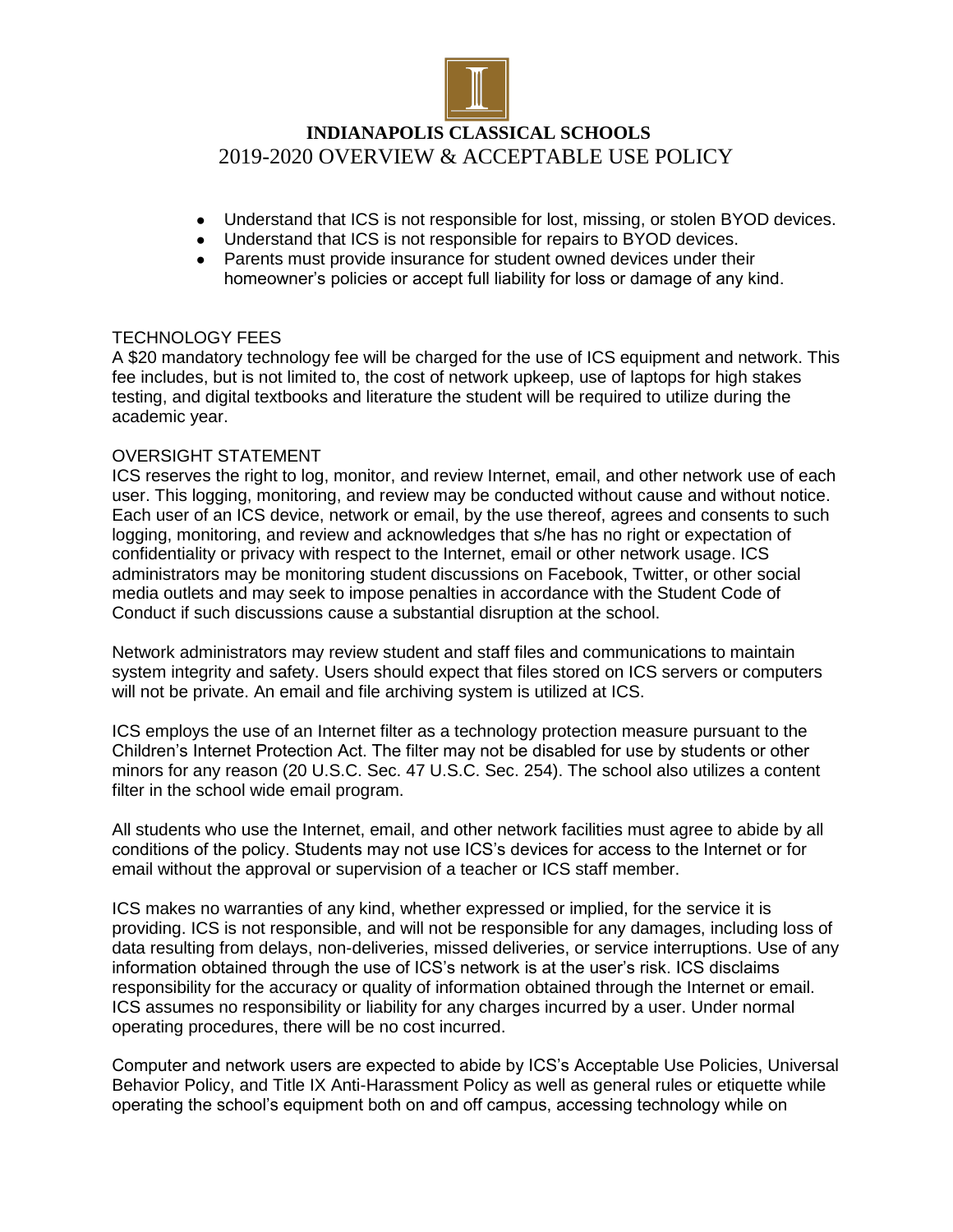

## **INDIANAPOLIS CLASSICAL SCHOOLS** 2019-2020 OVERVIEW & ACCEPTABLE USE POLICY

- Understand that ICS is not responsible for lost, missing, or stolen BYOD devices.
- Understand that ICS is not responsible for repairs to BYOD devices.
- Parents must provide insurance for student owned devices under their homeowner's policies or accept full liability for loss or damage of any kind.

#### TECHNOLOGY FEES

A \$20 mandatory technology fee will be charged for the use of ICS equipment and network. This fee includes, but is not limited to, the cost of network upkeep, use of laptops for high stakes testing, and digital textbooks and literature the student will be required to utilize during the academic year.

#### OVERSIGHT STATEMENT

ICS reserves the right to log, monitor, and review Internet, email, and other network use of each user. This logging, monitoring, and review may be conducted without cause and without notice. Each user of an ICS device, network or email, by the use thereof, agrees and consents to such logging, monitoring, and review and acknowledges that s/he has no right or expectation of confidentiality or privacy with respect to the Internet, email or other network usage. ICS administrators may be monitoring student discussions on Facebook, Twitter, or other social media outlets and may seek to impose penalties in accordance with the Student Code of Conduct if such discussions cause a substantial disruption at the school.

Network administrators may review student and staff files and communications to maintain system integrity and safety. Users should expect that files stored on ICS servers or computers will not be private. An email and file archiving system is utilized at ICS.

ICS employs the use of an Internet filter as a technology protection measure pursuant to the Children's Internet Protection Act. The filter may not be disabled for use by students or other minors for any reason (20 U.S.C. Sec. 47 U.S.C. Sec. 254). The school also utilizes a content filter in the school wide email program.

All students who use the Internet, email, and other network facilities must agree to abide by all conditions of the policy. Students may not use ICS's devices for access to the Internet or for email without the approval or supervision of a teacher or ICS staff member.

ICS makes no warranties of any kind, whether expressed or implied, for the service it is providing. ICS is not responsible, and will not be responsible for any damages, including loss of data resulting from delays, non-deliveries, missed deliveries, or service interruptions. Use of any information obtained through the use of ICS's network is at the user's risk. ICS disclaims responsibility for the accuracy or quality of information obtained through the Internet or email. ICS assumes no responsibility or liability for any charges incurred by a user. Under normal operating procedures, there will be no cost incurred.

Computer and network users are expected to abide by ICS's Acceptable Use Policies, Universal Behavior Policy, and Title IX Anti-Harassment Policy as well as general rules or etiquette while operating the school's equipment both on and off campus, accessing technology while on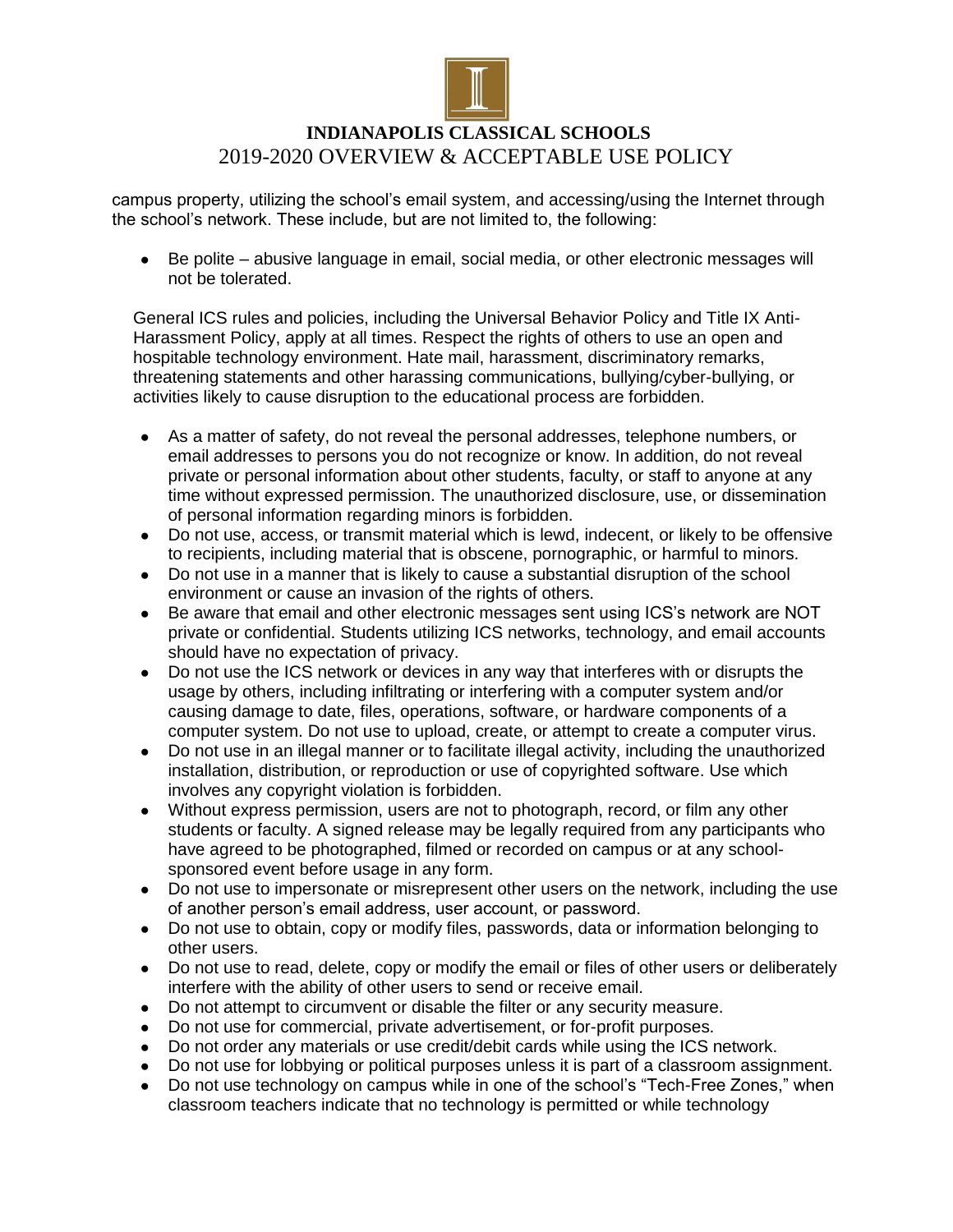

# **INDIANAPOLIS CLASSICAL SCHOOLS** 2019-2020 OVERVIEW & ACCEPTABLE USE POLICY

campus property, utilizing the school's email system, and accessing/using the Internet through the school's network. These include, but are not limited to, the following:

Be polite – abusive language in email, social media, or other electronic messages will not be tolerated.

General ICS rules and policies, including the Universal Behavior Policy and Title IX Anti-Harassment Policy, apply at all times. Respect the rights of others to use an open and hospitable technology environment. Hate mail, harassment, discriminatory remarks, threatening statements and other harassing communications, bullying/cyber-bullying, or activities likely to cause disruption to the educational process are forbidden.

- As a matter of safety, do not reveal the personal addresses, telephone numbers, or email addresses to persons you do not recognize or know. In addition, do not reveal private or personal information about other students, faculty, or staff to anyone at any time without expressed permission. The unauthorized disclosure, use, or dissemination of personal information regarding minors is forbidden.
- Do not use, access, or transmit material which is lewd, indecent, or likely to be offensive to recipients, including material that is obscene, pornographic, or harmful to minors.
- Do not use in a manner that is likely to cause a substantial disruption of the school environment or cause an invasion of the rights of others.
- Be aware that email and other electronic messages sent using ICS's network are NOT private or confidential. Students utilizing ICS networks, technology, and email accounts should have no expectation of privacy.
- Do not use the ICS network or devices in any way that interferes with or disrupts the usage by others, including infiltrating or interfering with a computer system and/or causing damage to date, files, operations, software, or hardware components of a computer system. Do not use to upload, create, or attempt to create a computer virus.
- Do not use in an illegal manner or to facilitate illegal activity, including the unauthorized installation, distribution, or reproduction or use of copyrighted software. Use which involves any copyright violation is forbidden.
- Without express permission, users are not to photograph, record, or film any other students or faculty. A signed release may be legally required from any participants who have agreed to be photographed, filmed or recorded on campus or at any schoolsponsored event before usage in any form.
- Do not use to impersonate or misrepresent other users on the network, including the use of another person's email address, user account, or password.
- Do not use to obtain, copy or modify files, passwords, data or information belonging to other users.
- Do not use to read, delete, copy or modify the email or files of other users or deliberately interfere with the ability of other users to send or receive email.
- Do not attempt to circumvent or disable the filter or any security measure.
- Do not use for commercial, private advertisement, or for-profit purposes.
- Do not order any materials or use credit/debit cards while using the ICS network.
- Do not use for lobbying or political purposes unless it is part of a classroom assignment.
- Do not use technology on campus while in one of the school's "Tech-Free Zones," when classroom teachers indicate that no technology is permitted or while technology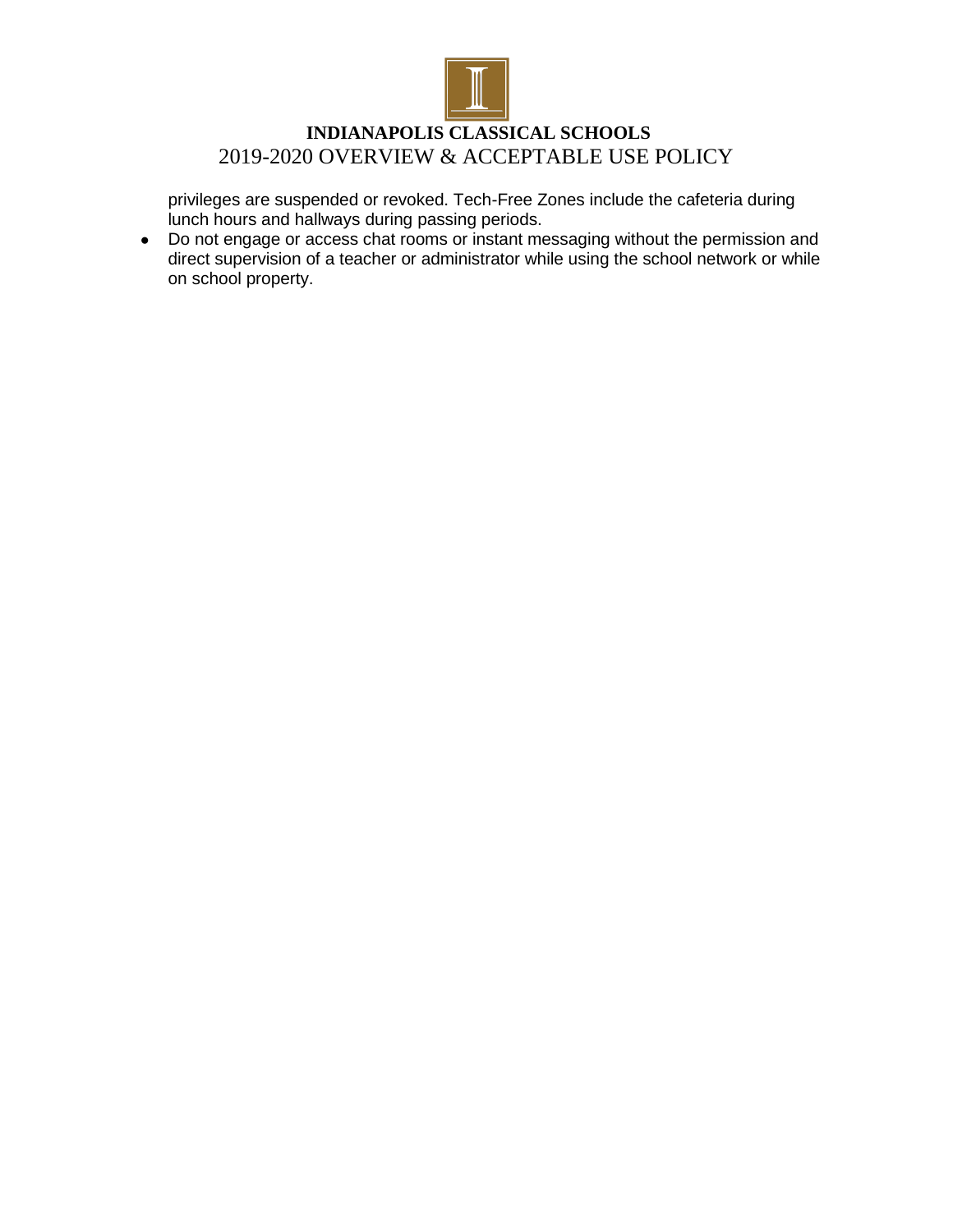

## **INDIANAPOLIS CLASSICAL SCHOOLS** 2019-2020 OVERVIEW & ACCEPTABLE USE POLICY

privileges are suspended or revoked. Tech-Free Zones include the cafeteria during lunch hours and hallways during passing periods.

• Do not engage or access chat rooms or instant messaging without the permission and direct supervision of a teacher or administrator while using the school network or while on school property.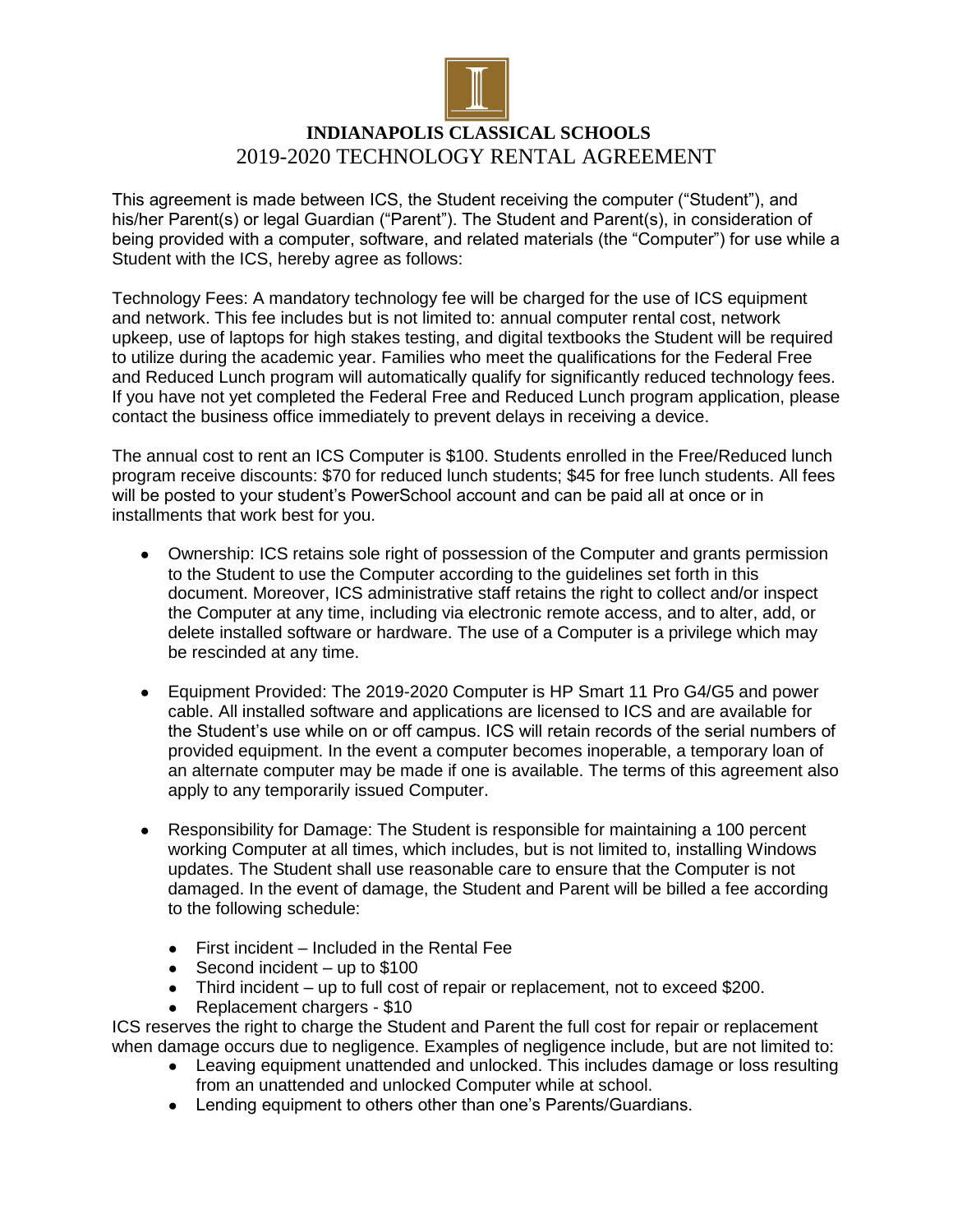

# **INDIANAPOLIS CLASSICAL SCHOOLS** 2019-2020 TECHNOLOGY RENTAL AGREEMENT

This agreement is made between ICS, the Student receiving the computer ("Student"), and his/her Parent(s) or legal Guardian ("Parent"). The Student and Parent(s), in consideration of being provided with a computer, software, and related materials (the "Computer") for use while a Student with the ICS, hereby agree as follows:

Technology Fees: A mandatory technology fee will be charged for the use of ICS equipment and network. This fee includes but is not limited to: annual computer rental cost, network upkeep, use of laptops for high stakes testing, and digital textbooks the Student will be required to utilize during the academic year. Families who meet the qualifications for the Federal Free and Reduced Lunch program will automatically qualify for significantly reduced technology fees. If you have not yet completed the Federal Free and Reduced Lunch program application, please contact the business office immediately to prevent delays in receiving a device.

The annual cost to rent an ICS Computer is \$100. Students enrolled in the Free/Reduced lunch program receive discounts: \$70 for reduced lunch students; \$45 for free lunch students. All fees will be posted to your student's PowerSchool account and can be paid all at once or in installments that work best for you.

- Ownership: ICS retains sole right of possession of the Computer and grants permission to the Student to use the Computer according to the guidelines set forth in this document. Moreover, ICS administrative staff retains the right to collect and/or inspect the Computer at any time, including via electronic remote access, and to alter, add, or delete installed software or hardware. The use of a Computer is a privilege which may be rescinded at any time.
- Equipment Provided: The 2019-2020 Computer is HP Smart 11 Pro G4/G5 and power cable. All installed software and applications are licensed to ICS and are available for the Student's use while on or off campus. ICS will retain records of the serial numbers of provided equipment. In the event a computer becomes inoperable, a temporary loan of an alternate computer may be made if one is available. The terms of this agreement also apply to any temporarily issued Computer.
- Responsibility for Damage: The Student is responsible for maintaining a 100 percent working Computer at all times, which includes, but is not limited to, installing Windows updates. The Student shall use reasonable care to ensure that the Computer is not damaged. In the event of damage, the Student and Parent will be billed a fee according to the following schedule:
	- First incident Included in the Rental Fee
	- $\bullet$  Second incident up to \$100
	- Third incident up to full cost of repair or replacement, not to exceed \$200.
	- Replacement chargers \$10

ICS reserves the right to charge the Student and Parent the full cost for repair or replacement when damage occurs due to negligence. Examples of negligence include, but are not limited to:

- Leaving equipment unattended and unlocked. This includes damage or loss resulting from an unattended and unlocked Computer while at school.
- Lending equipment to others other than one's Parents/Guardians.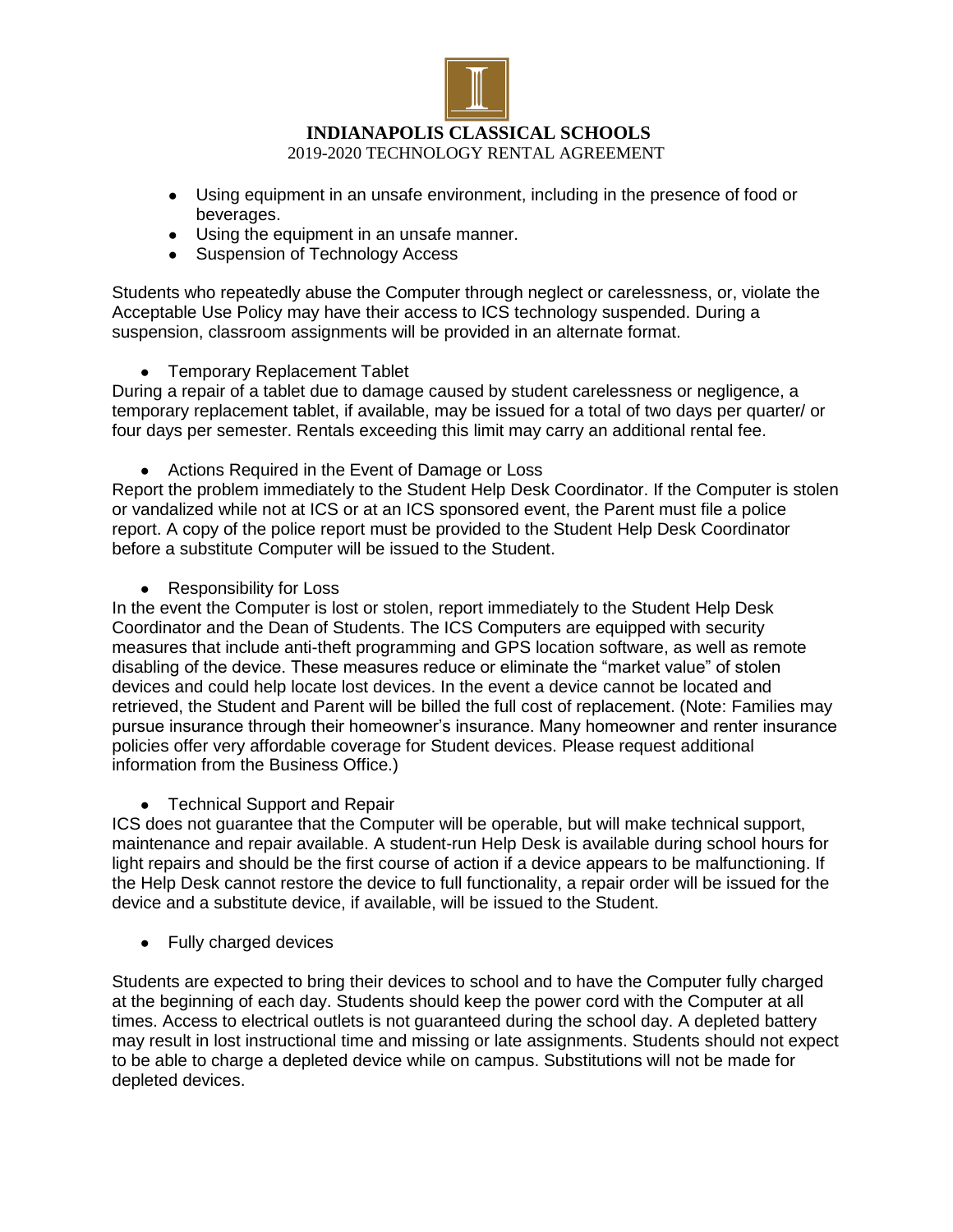

- Using equipment in an unsafe environment, including in the presence of food or beverages.
- Using the equipment in an unsafe manner.
- Suspension of Technology Access

Students who repeatedly abuse the Computer through neglect or carelessness, or, violate the Acceptable Use Policy may have their access to ICS technology suspended. During a suspension, classroom assignments will be provided in an alternate format.

• Temporary Replacement Tablet

During a repair of a tablet due to damage caused by student carelessness or negligence, a temporary replacement tablet, if available, may be issued for a total of two days per quarter/ or four days per semester. Rentals exceeding this limit may carry an additional rental fee.

• Actions Required in the Event of Damage or Loss

Report the problem immediately to the Student Help Desk Coordinator. If the Computer is stolen or vandalized while not at ICS or at an ICS sponsored event, the Parent must file a police report. A copy of the police report must be provided to the Student Help Desk Coordinator before a substitute Computer will be issued to the Student.

• Responsibility for Loss

In the event the Computer is lost or stolen, report immediately to the Student Help Desk Coordinator and the Dean of Students. The ICS Computers are equipped with security measures that include anti-theft programming and GPS location software, as well as remote disabling of the device. These measures reduce or eliminate the "market value" of stolen devices and could help locate lost devices. In the event a device cannot be located and retrieved, the Student and Parent will be billed the full cost of replacement. (Note: Families may pursue insurance through their homeowner's insurance. Many homeowner and renter insurance policies offer very affordable coverage for Student devices. Please request additional information from the Business Office.)

• Technical Support and Repair

ICS does not guarantee that the Computer will be operable, but will make technical support, maintenance and repair available. A student-run Help Desk is available during school hours for light repairs and should be the first course of action if a device appears to be malfunctioning. If the Help Desk cannot restore the device to full functionality, a repair order will be issued for the device and a substitute device, if available, will be issued to the Student.

• Fully charged devices

Students are expected to bring their devices to school and to have the Computer fully charged at the beginning of each day. Students should keep the power cord with the Computer at all times. Access to electrical outlets is not guaranteed during the school day. A depleted battery may result in lost instructional time and missing or late assignments. Students should not expect to be able to charge a depleted device while on campus. Substitutions will not be made for depleted devices.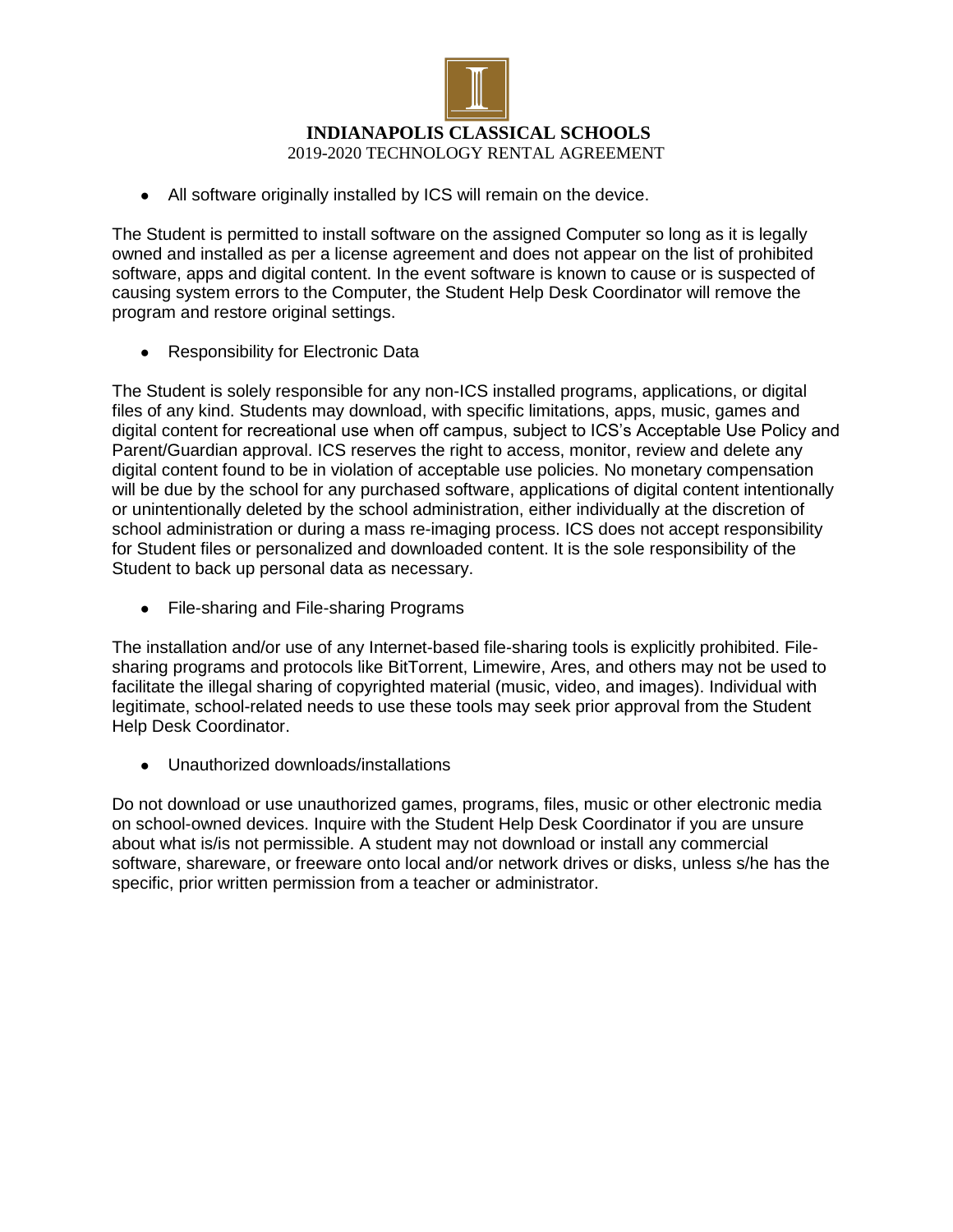

• All software originally installed by ICS will remain on the device.

The Student is permitted to install software on the assigned Computer so long as it is legally owned and installed as per a license agreement and does not appear on the list of prohibited software, apps and digital content. In the event software is known to cause or is suspected of causing system errors to the Computer, the Student Help Desk Coordinator will remove the program and restore original settings.

● Responsibility for Electronic Data

The Student is solely responsible for any non-ICS installed programs, applications, or digital files of any kind. Students may download, with specific limitations, apps, music, games and digital content for recreational use when off campus, subject to ICS's Acceptable Use Policy and Parent/Guardian approval. ICS reserves the right to access, monitor, review and delete any digital content found to be in violation of acceptable use policies. No monetary compensation will be due by the school for any purchased software, applications of digital content intentionally or unintentionally deleted by the school administration, either individually at the discretion of school administration or during a mass re-imaging process. ICS does not accept responsibility for Student files or personalized and downloaded content. It is the sole responsibility of the Student to back up personal data as necessary.

● File-sharing and File-sharing Programs

The installation and/or use of any Internet-based file-sharing tools is explicitly prohibited. Filesharing programs and protocols like BitTorrent, Limewire, Ares, and others may not be used to facilitate the illegal sharing of copyrighted material (music, video, and images). Individual with legitimate, school-related needs to use these tools may seek prior approval from the Student Help Desk Coordinator.

● Unauthorized downloads/installations

Do not download or use unauthorized games, programs, files, music or other electronic media on school-owned devices. Inquire with the Student Help Desk Coordinator if you are unsure about what is/is not permissible. A student may not download or install any commercial software, shareware, or freeware onto local and/or network drives or disks, unless s/he has the specific, prior written permission from a teacher or administrator.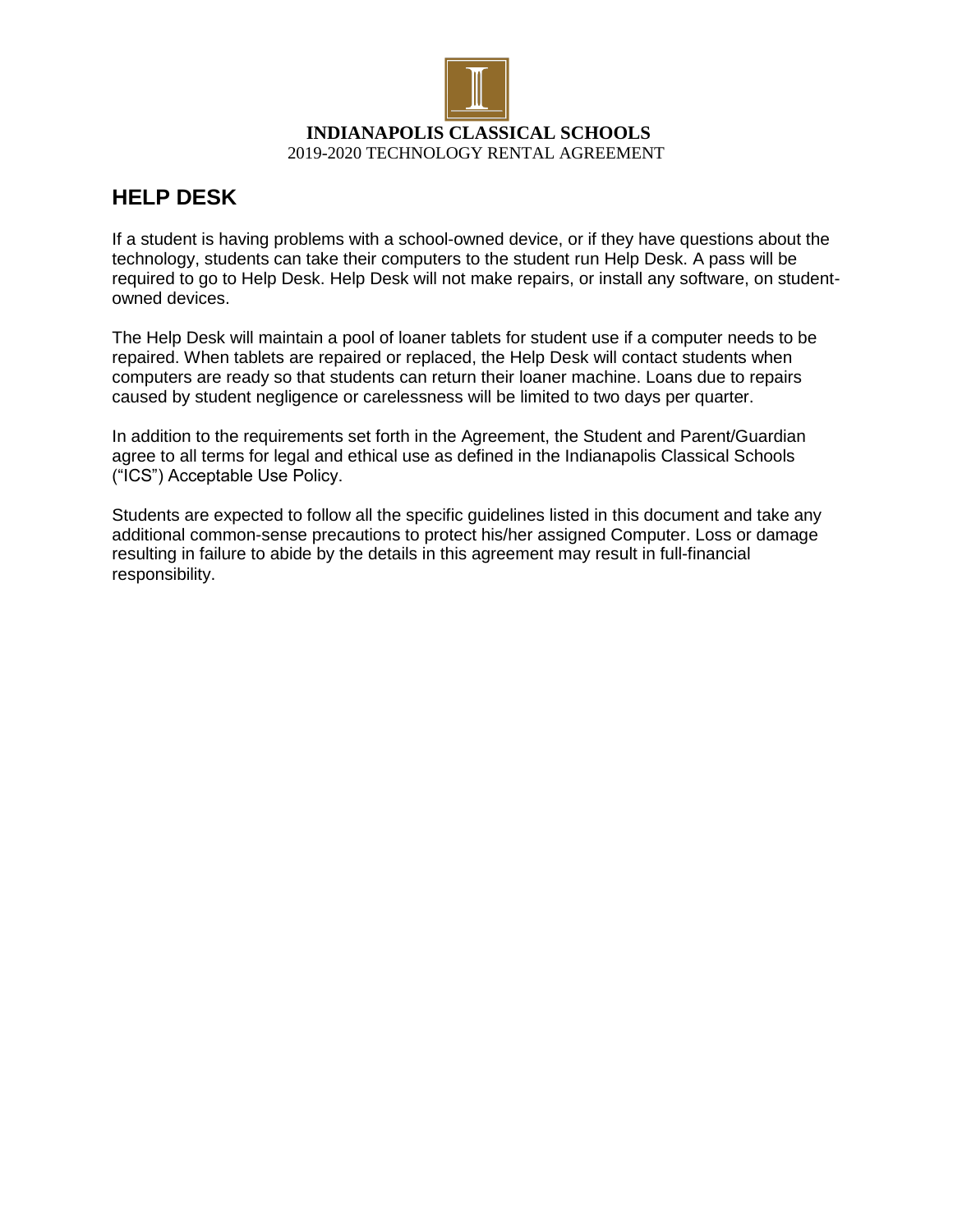

# **HELP DESK**

If a student is having problems with a school-owned device, or if they have questions about the technology, students can take their computers to the student run Help Desk. A pass will be required to go to Help Desk. Help Desk will not make repairs, or install any software, on studentowned devices.

The Help Desk will maintain a pool of loaner tablets for student use if a computer needs to be repaired. When tablets are repaired or replaced, the Help Desk will contact students when computers are ready so that students can return their loaner machine. Loans due to repairs caused by student negligence or carelessness will be limited to two days per quarter.

In addition to the requirements set forth in the Agreement, the Student and Parent/Guardian agree to all terms for legal and ethical use as defined in the Indianapolis Classical Schools ("ICS") Acceptable Use Policy.

Students are expected to follow all the specific guidelines listed in this document and take any additional common-sense precautions to protect his/her assigned Computer. Loss or damage resulting in failure to abide by the details in this agreement may result in full-financial responsibility.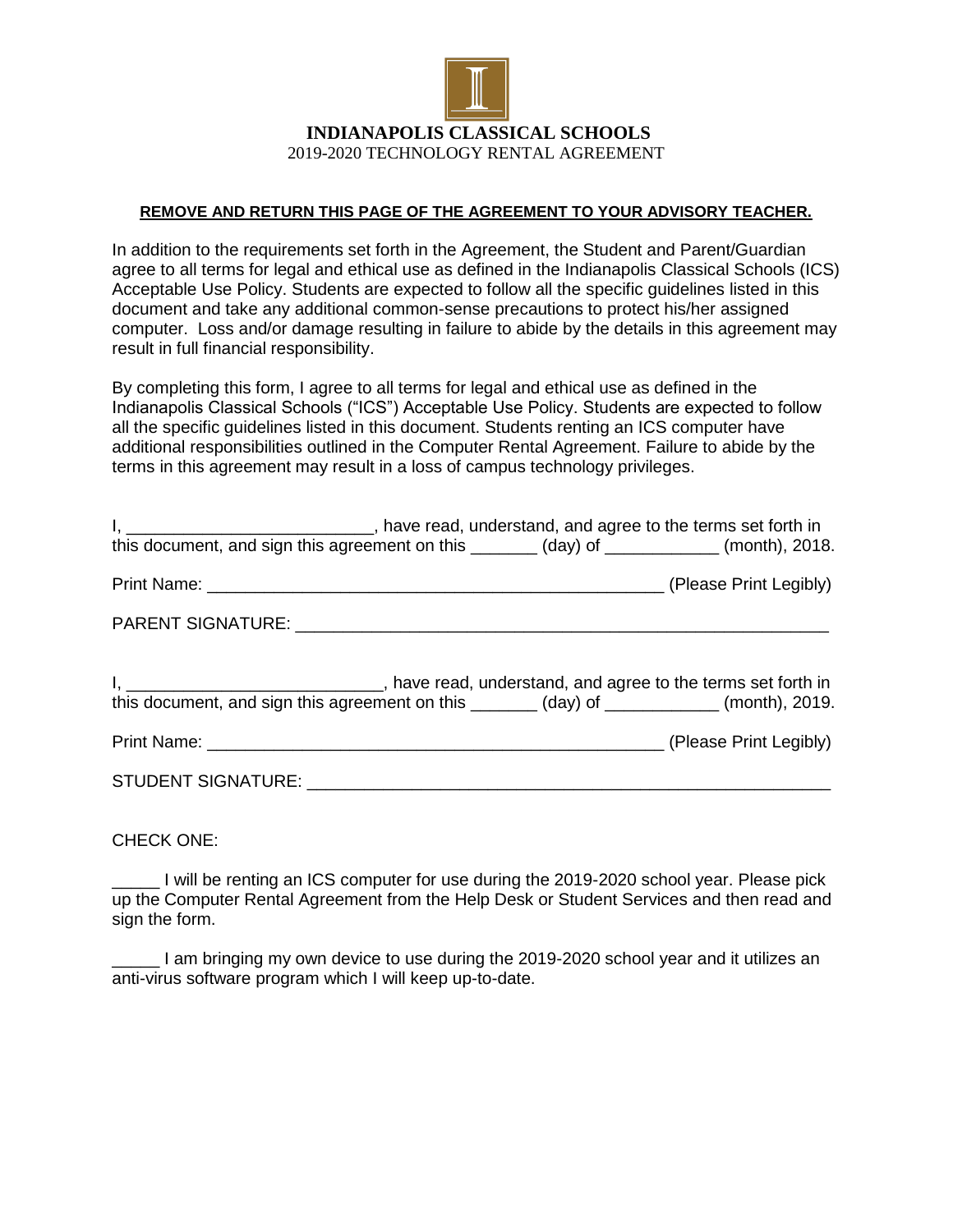

#### **REMOVE AND RETURN THIS PAGE OF THE AGREEMENT TO YOUR ADVISORY TEACHER.**

In addition to the requirements set forth in the Agreement, the Student and Parent/Guardian agree to all terms for legal and ethical use as defined in the Indianapolis Classical Schools (ICS) Acceptable Use Policy. Students are expected to follow all the specific guidelines listed in this document and take any additional common-sense precautions to protect his/her assigned computer. Loss and/or damage resulting in failure to abide by the details in this agreement may result in full financial responsibility.

By completing this form, I agree to all terms for legal and ethical use as defined in the Indianapolis Classical Schools ("ICS") Acceptable Use Policy. Students are expected to follow all the specific guidelines listed in this document. Students renting an ICS computer have additional responsibilities outlined in the Computer Rental Agreement. Failure to abide by the terms in this agreement may result in a loss of campus technology privileges.

| I, _______________________________, have read, understand, and agree to the terms set forth in<br>this document, and sign this agreement on this _______ (day) of ___________ (month), 2018.     |  |  |
|--------------------------------------------------------------------------------------------------------------------------------------------------------------------------------------------------|--|--|
|                                                                                                                                                                                                  |  |  |
|                                                                                                                                                                                                  |  |  |
| I, ___________________________________, have read, understand, and agree to the terms set forth in<br>this document, and sign this agreement on this _______ (day) of ___________ (month), 2019. |  |  |
|                                                                                                                                                                                                  |  |  |
|                                                                                                                                                                                                  |  |  |

CHECK ONE:

\_\_\_\_\_ I will be renting an ICS computer for use during the 2019-2020 school year. Please pick up the Computer Rental Agreement from the Help Desk or Student Services and then read and sign the form.

I am bringing my own device to use during the 2019-2020 school year and it utilizes an anti-virus software program which I will keep up-to-date.